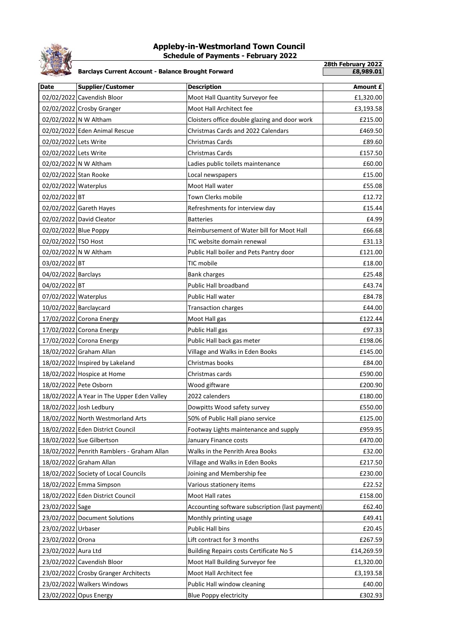

## **Appleby-in-Westmorland Town Council Schedule of Payments - February 2022**

**28th February 2022 Barclays Current Account - Balance Brought Forward Date Supplier/Customer Description Description Amount £** 02/02/2022 Cavendish Bloor Moot Hall Quantity Surveyor fee **E1,320.00** 02/02/2022 Crosby Granger Moot Hall Architect fee example and the f3,193.58 02/02/2022 N W Altham  $\vert$  Cloisters office double glazing and door work  $\vert$  £215.00 02/02/2022 Eden Animal Rescue Christmas Cards and 2022 Calendars **Example 1869.50** 02/02/2022 Lets Write Christmas Cards Cards **E89.60** 02/02/2022 Lets Write Christmas Cards Cards 202/02/2022 Lets Write 2057.50  $02/02/2022$  N W Altham  $\qquad \qquad$  Ladies public toilets maintenance  $\qquad \qquad$  E60.00 02/02/2022 Stan Rooke **Local newspapers** Local newspapers example to the state of the state of the state of the state of the state of the state of the state of the state of the state of the state of the state of the state 02/02/2022 Waterplus Moot Hall water **Moot Hall water** 2007/2022 Water **£55.08** 02/02/2022 BT **Town Clerks mobile Town Clerks mobile E12.72** 02/02/2022 Gareth Hayes Refreshments for interview day **E15.44** 02/02/2022 David Cleator **Batteries Batteries E4.99** 02/02/2022 Blue Poppy **Reimbursement of Water bill for Moot Hall** the R66.68 02/02/2022 TSO Host **TIC website domain renewal** example the fature of the fature of the fature of the fature of the fature of the fature of the fature of the fature of the fature of the fature of the fature of the fature 02/02/2022 N W Altham **Public Hall boiler and Pets Pantry door Public Hall boiler and Pets Pantry door** 03/02/2022 BT TIC mobile The mobile to the f18.00 04/02/2022 Barclays **Bank charges Bank charges E25.48** 04/02/2022 BT CHALL BROAD CONSULTER Public Hall broadband COVID-1000 E43.74 07/02/2022 Waterplus **Public Hall water 1996** Public Hall water **E84.78** 10/02/2022 Barclaycard Transaction charges £44.00 17/02/2022 Corona Energy Moot Hall gas and Moot Hall gas and E122.44 17/02/2022 Corona Energy Public Hall gas **E97.33** Public Hall gas 17/02/2022 Corona Energy Public Hall back gas meter £198.06 18/02/2022 Graham Allan Village and Walks in Eden Books £145.00 18/02/2022 Inspired by Lakeland Christmas books **E84.00** E84.00 18/02/2022 Hospice at Home Christmas cards **E590.00** Christmas cards **£590.00** 18/02/2022 Pete Osborn Wood giftware **E200.90** and E200.90 18/02/2022 A Year in The Upper Eden Valley 2022 calenders **180.000** extends the filth of the filth of the filth of the filth of the filth of the filth of the filth of the filth of the filth of the filth of the filth of the 18/02/2022 Josh Ledbury **Dowpitts Wood safety survey** 18/02/2022 Josh Ledbury **E**550.00 18/02/2022 North Westmorland Arts 50% of Public Hall piano service **E125.00** 18/02/2022 Eden District Council Footway Lights maintenance and supply £959.95 18/02/2022 Sue Gilbertson **Face Struck Struck Struck Struck** January Finance costs **E470.00** 18/02/2022 Penrith Ramblers - Graham Allan Walks in the Penrith Area Books £32.00 18/02/2022 Graham Allan **18/02/2022** Graham Allan **Example 2017.50** Village and Walks in Eden Books **E217.50** 18/02/2022 Society of Local Councils Joining and Membership fee £230.00 18/02/2022 Emma Simpson Various stationery items £22.52 18/02/2022 Eden District Council Moot Hall rates **E158.00** And Fall rates **E158.00** 23/02/2022 Sage Accounting software subscription (last payment) 662.40 23/02/2022 Document Solutions Monthly printing usage example and the fact that the fact that the fact that the monthly printing usage the fact of the fact that the fact that the fact of the fact that the fact of the fact t 23/02/2022 Urbaser Public Hall bins **E20.45** Public Hall bins **E20.45** 23/02/2022 Orona 
Lift contract for 3 months 
Lift contract for 3 months 
Lift contract for 3 months 23/02/2022 Aura Ltd Building Repairs costs Certificate No 5 £14,269.59 23/02/2022 Cavendish Bloor Moot Hall Building Surveyor fee **E1,320.00** 23/02/2022 Crosby Granger Architects Moot Hall Architect fee **E3**,193.58 23/02/2022 Walkers Windows Public Hall window cleaning example to the fact of the fact of the fact of the fact o 23/02/2022 Opus Energy Blue Poppy electricity **E302.93**